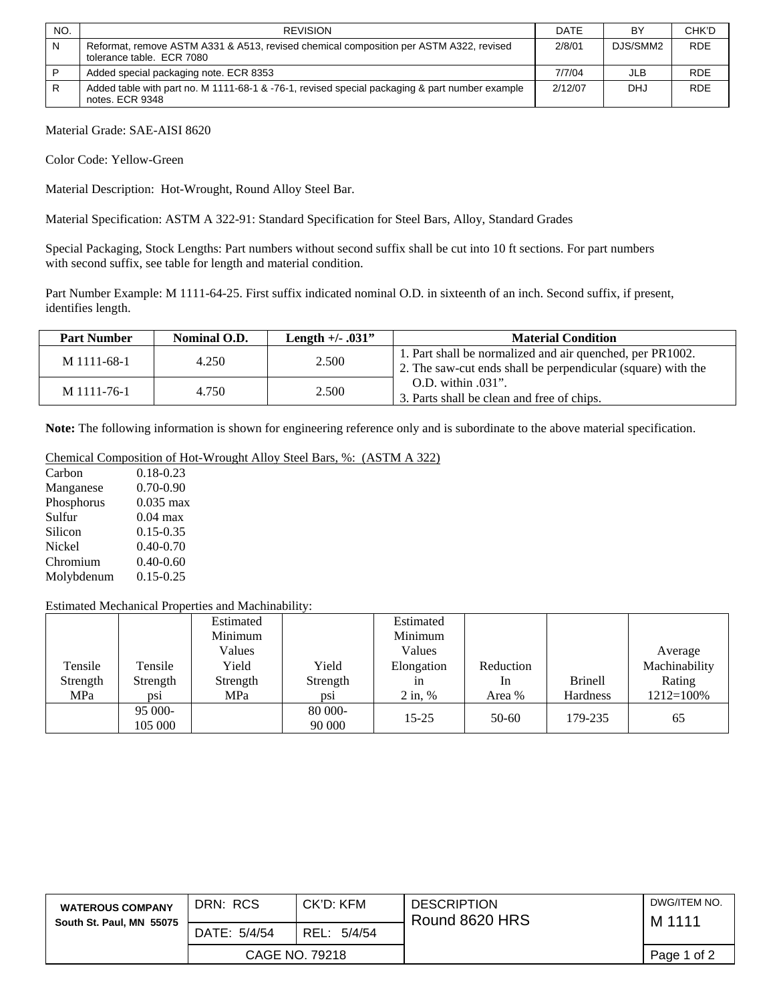| NO. | <b>REVISION</b>                                                                                                     | <b>DATE</b> | BY         | CHK'D      |
|-----|---------------------------------------------------------------------------------------------------------------------|-------------|------------|------------|
| N   | Reformat, remove ASTM A331 & A513, revised chemical composition per ASTM A322, revised<br>tolerance table. ECR 7080 | 2/8/01      | DJS/SMM2   | <b>RDE</b> |
|     | Added special packaging note. ECR 8353                                                                              | 7/7/04      | JLB        | <b>RDE</b> |
| R   | Added table with part no. M 1111-68-1 & -76-1, revised special packaging & part number example<br>notes. ECR 9348   | 2/12/07     | <b>DHJ</b> | <b>RDE</b> |

Material Grade: SAE-AISI 8620

Color Code: Yellow-Green

Material Description: Hot-Wrought, Round Alloy Steel Bar.

Material Specification: ASTM A 322-91: Standard Specification for Steel Bars, Alloy, Standard Grades

Special Packaging, Stock Lengths: Part numbers without second suffix shall be cut into 10 ft sections. For part numbers with second suffix, see table for length and material condition.

Part Number Example: M 1111-64-25. First suffix indicated nominal O.D. in sixteenth of an inch. Second suffix, if present, identifies length.

| <b>Part Number</b> | Nominal O.D. | <b>Length +/- .031"</b> | <b>Material Condition</b>                                                                                                 |
|--------------------|--------------|-------------------------|---------------------------------------------------------------------------------------------------------------------------|
| M 1111-68-1        | 4.250        | 2.500                   | 1. Part shall be normalized and air quenched, per PR1002.<br>2. The saw-cut ends shall be perpendicular (square) with the |
| M 1111-76-1        | 4.750        | 2.500                   | O.D. within .031".<br>3. Parts shall be clean and free of chips.                                                          |

**Note:** The following information is shown for engineering reference only and is subordinate to the above material specification.

## Chemical Composition of Hot-Wrought Alloy Steel Bars, %: (ASTM A 322)

| Carbon     | $0.18 - 0.23$ |
|------------|---------------|
| Manganese  | $0.70 - 0.90$ |
| Phosphorus | $0.035$ max   |
| Sulfur     | $0.04$ max    |
| Silicon    | $0.15 - 0.35$ |
| Nickel     | $0.40 - 0.70$ |
| Chromium   | $0.40 - 0.60$ |
| Molybdenum | $0.15 - 0.25$ |

## Estimated Mechanical Properties and Machinability:

|          |          | Estimated |          | Estimated  |                |                 |                |
|----------|----------|-----------|----------|------------|----------------|-----------------|----------------|
|          |          | Minimum   |          | Minimum    |                |                 |                |
|          |          | Values    |          | Values     |                |                 | Average        |
| Tensile  | Tensile  | Yield     | Yield    | Elongation | Reduction      |                 | Machinability  |
| Strength | Strength | Strength  | Strength | 1n         | <sub>1</sub> n | <b>Brinell</b>  | Rating         |
| MPa      | DS1      | MPa       | ps1      | $2$ in, %  | Area %         | <b>Hardness</b> | $1212 = 100\%$ |
|          | 95 000-  |           | 80 000-  | $15 - 25$  | $50-60$        | 179-235         |                |
|          | 105 000  |           | 90 000   |            |                |                 | 65             |

| <b>WATEROUS COMPANY</b><br>South St. Paul, MN 55075 | DRN: RCS     | CK'D: KFM      | <b>DESCRIPTION</b><br>Round 8620 HRS | DWG/ITEM NO.<br>M 1111 |
|-----------------------------------------------------|--------------|----------------|--------------------------------------|------------------------|
|                                                     | DATE: 5/4/54 | REL:<br>5/4/54 |                                      |                        |
|                                                     |              | CAGE NO. 79218 |                                      | Page 1 of 2            |